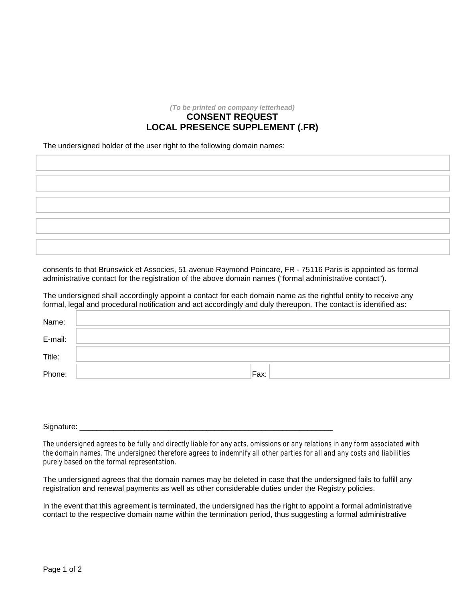*(To be printed on company letterhead)*

## **CONSENT REQUEST LOCAL PRESENCE SUPPLEMENT (.FR)**

The undersigned holder of the user right to the following domain names:

consents to that Brunswick et Associes, 51 avenue Raymond Poincare, FR - 75116 Paris is appointed as formal administrative contact for the registration of the above domain names ("formal administrative contact").

The undersigned shall accordingly appoint a contact for each domain name as the rightful entity to receive any formal, legal and procedural notification and act accordingly and duly thereupon. The contact is identified as:

| Name:   |      |
|---------|------|
| E-mail: |      |
| Title:  |      |
| Phone:  | Fax: |

Signature:

The undersigned agrees to be fully and directly liable for any acts, omissions or any relations in any form associated with the domain names. The undersigned therefore agrees to indemnify all other parties for all and any costs and liabilities purely based on the formal representation.

The undersigned agrees that the domain names may be deleted in case that the undersigned fails to fulfill any registration and renewal payments as well as other considerable duties under the Registry policies.

In the event that this agreement is terminated, the undersigned has the right to appoint a formal administrative contact to the respective domain name within the termination period, thus suggesting a formal administrative